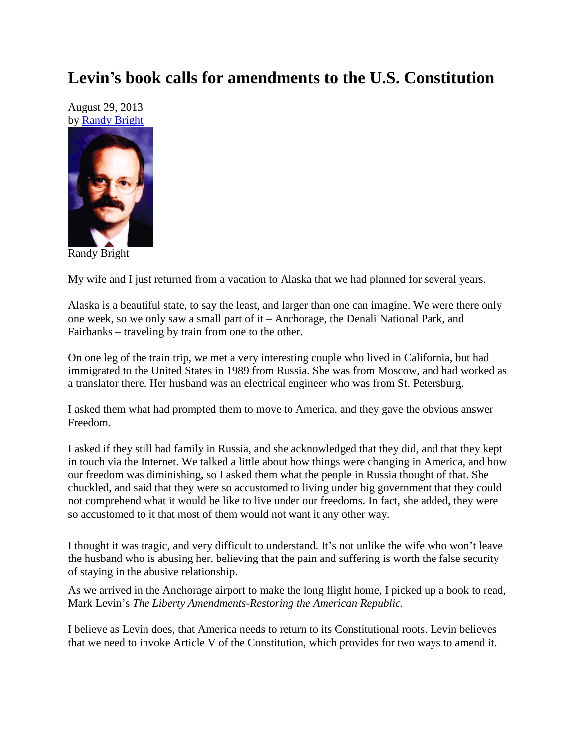## **Levin's book calls for amendments to the U.S. Constitution**

August 29, 2013 by [Randy Bright](http://tulsabeacon.com/writers/randy-bright/)



Randy Bright

My wife and I just returned from a vacation to Alaska that we had planned for several years.

Alaska is a beautiful state, to say the least, and larger than one can imagine. We were there only one week, so we only saw a small part of it – Anchorage, the Denali National Park, and Fairbanks – traveling by train from one to the other.

On one leg of the train trip, we met a very interesting couple who lived in California, but had immigrated to the United States in 1989 from Russia. She was from Moscow, and had worked as a translator there. Her husband was an electrical engineer who was from St. Petersburg.

I asked them what had prompted them to move to America, and they gave the obvious answer – Freedom.

I asked if they still had family in Russia, and she acknowledged that they did, and that they kept in touch via the Internet. We talked a little about how things were changing in America, and how our freedom was diminishing, so I asked them what the people in Russia thought of that. She chuckled, and said that they were so accustomed to living under big government that they could not comprehend what it would be like to live under our freedoms. In fact, she added, they were so accustomed to it that most of them would not want it any other way.

I thought it was tragic, and very difficult to understand. It's not unlike the wife who won't leave the husband who is abusing her, believing that the pain and suffering is worth the false security of staying in the abusive relationship.

As we arrived in the Anchorage airport to make the long flight home, I picked up a book to read, Mark Levin's *The Liberty Amendments-Restoring the American Republic.*

I believe as Levin does, that America needs to return to its Constitutional roots. Levin believes that we need to invoke Article V of the Constitution, which provides for two ways to amend it.